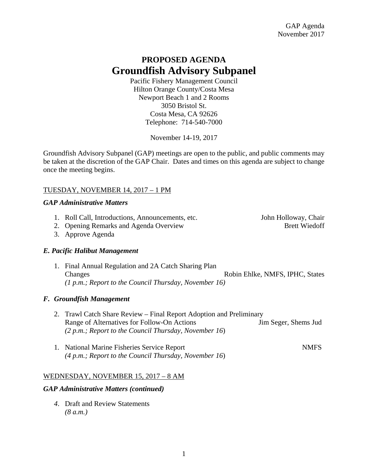# **PROPOSED AGENDA Groundfish Advisory Subpanel**

Pacific Fishery Management Council Hilton Orange County/Costa Mesa Newport Beach 1 and 2 Rooms 3050 Bristol St. Costa Mesa, CA 92626 Telephone: 714-540-7000

November 14-19, 2017

Groundfish Advisory Subpanel (GAP) meetings are open to the public, and public comments may be taken at the discretion of the GAP Chair. Dates and times on this agenda are subject to change once the meeting begins.

## TUESDAY, NOVEMBER 14, 2017 – 1 PM

### *GAP Administrative Matters*

- 1. Roll Call, Introductions, Announcements, etc. John Holloway, Chair 2. Opening Remarks and Agenda Overview Brett Wiedoff
- 3. Approve Agenda

# *E. Pacific Halibut Management*

1. Final Annual Regulation and 2A Catch Sharing Plan Changes Robin Ehlke, NMFS, IPHC, States *(1 p.m.; Report to the Council Thursday, November 16)* 

# *F. Groundfish Management*

- 2. Trawl Catch Share Review Final Report Adoption and Preliminary Range of Alternatives for Follow-On Actions Jim Seger, Shems Jud *(2 p.m.; Report to the Council Thursday, November 16*)
- 1. National Marine Fisheries Service Report NMFS *(4 p.m.; Report to the Council Thursday, November 16*)

# WEDNESDAY, NOVEMBER 15, 2017 – 8 AM

### *GAP Administrative Matters (continued)*

 *4*. Draft and Review Statements  *(8 a.m.)*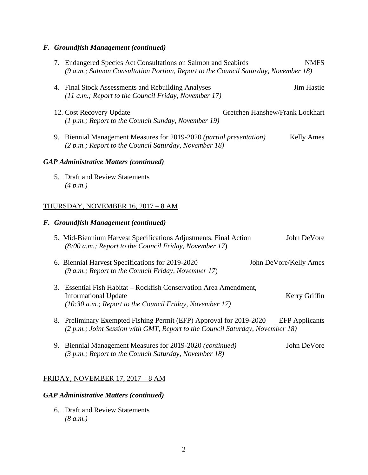# *F. Groundfish Management (continued)*

|                                               |  | 7. Endangered Species Act Consultations on Salmon and Seabirds<br><b>NMFS</b><br>(9 a.m.; Salmon Consultation Portion, Report to the Council Saturday, November 18)           |
|-----------------------------------------------|--|-------------------------------------------------------------------------------------------------------------------------------------------------------------------------------|
|                                               |  | 4. Final Stock Assessments and Rebuilding Analyses<br><b>Jim Hastie</b><br>(11 a.m.; Report to the Council Friday, November 17)                                               |
|                                               |  | Gretchen Hanshew/Frank Lockhart<br>12. Cost Recovery Update<br>(1 p.m.; Report to the Council Sunday, November 19)                                                            |
|                                               |  | 9. Biennial Management Measures for 2019-2020 (partial presentation)<br><b>Kelly Ames</b><br>(2 p.m.; Report to the Council Saturday, November 18)                            |
| <b>GAP Administrative Matters (continued)</b> |  |                                                                                                                                                                               |
|                                               |  | 5. Draft and Review Statements<br>(4 p.m.)                                                                                                                                    |
| THURSDAY, NOVEMBER 16, 2017 - 8 AM            |  |                                                                                                                                                                               |
|                                               |  | F. Groundfish Management (continued)                                                                                                                                          |
|                                               |  | 5. Mid-Biennium Harvest Specifications Adjustments, Final Action<br>John DeVore<br>(8:00 a.m.; Report to the Council Friday, November 17)                                     |
|                                               |  | 6. Biennial Harvest Specifications for 2019-2020<br>John DeVore/Kelly Ames<br>(9 a.m.; Report to the Council Friday, November 17)                                             |
|                                               |  | 3. Essential Fish Habitat – Rockfish Conservation Area Amendment,<br><b>Informational Update</b><br>Kerry Griffin<br>(10:30 a.m.; Report to the Council Friday, November 17)  |
|                                               |  | 8. Preliminary Exempted Fishing Permit (EFP) Approval for 2019-2020<br><b>EFP</b> Applicants<br>(2 p.m.; Joint Session with GMT, Report to the Council Saturday, November 18) |
|                                               |  | 9. Biennial Management Measures for 2019-2020 (continued)<br>John DeVore<br>(3 p.m.; Report to the Council Saturday, November 18)                                             |

# FRIDAY, NOVEMBER 17, 2017 – 8 AM

## *GAP Administrative Matters (continued)*

 6. Draft and Review Statements  *(8 a.m.)*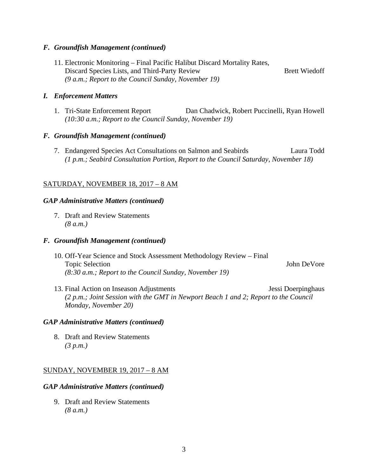#### *F. Groundfish Management (continued)*

11. Electronic Monitoring – Final Pacific Halibut Discard Mortality Rates, Discard Species Lists, and Third-Party Review Brett Wiedoff  *(9 a.m.; Report to the Council Sunday, November 19)* 

### *I. Enforcement Matters*

1. Tri-State Enforcement Report Dan Chadwick, Robert Puccinelli, Ryan Howell  *(10:30 a.m.; Report to the Council Sunday, November 19)* 

#### *F. Groundfish Management (continued)*

 7. Endangered Species Act Consultations on Salmon and Seabirds Laura Todd *(1 p.m.; Seabird Consultation Portion, Report to the Council Saturday, November 18)*

### SATURDAY, NOVEMBER 18, 2017 – 8 AM

#### *GAP Administrative Matters (continued)*

 7. Draft and Review Statements  *(8 a.m.)* 

#### *F. Groundfish Management (continued)*

- 10. Off-Year Science and Stock Assessment Methodology Review Final Topic Selection John DeVore *(8:30 a.m.; Report to the Council Sunday, November 19)*
- 13. Final Action on Inseason Adjustments Jessi Doerpinghaus *(2 p.m.; Joint Session with the GMT in Newport Beach 1 and 2; Report to the Council Monday, November 20)*

#### *GAP Administrative Matters (continued)*

 8. Draft and Review Statements  *(3 p.m.)* 

#### SUNDAY, NOVEMBER 19, 2017 – 8 AM

#### *GAP Administrative Matters (continued)*

 9. Draft and Review Statements  *(8 a.m.)*